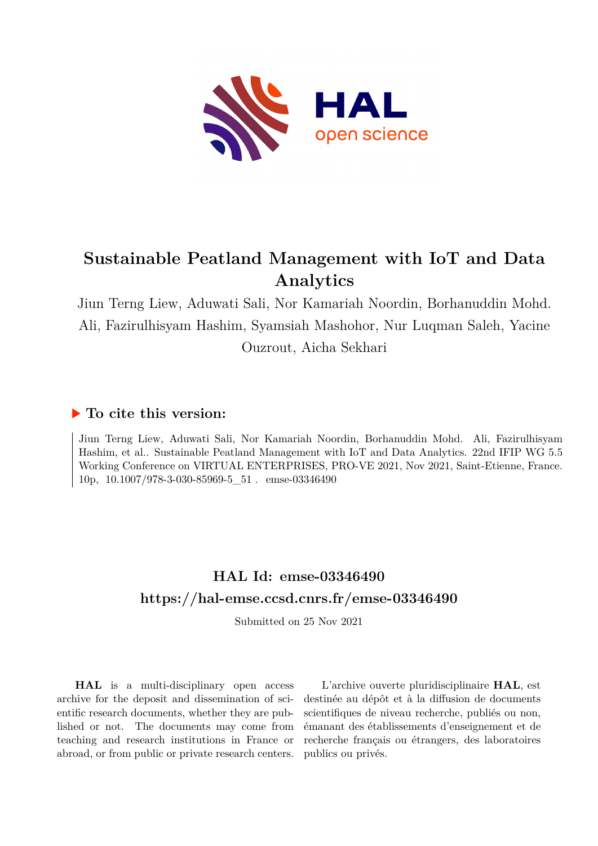

# **Sustainable Peatland Management with IoT and Data Analytics**

Jiun Terng Liew, Aduwati Sali, Nor Kamariah Noordin, Borhanuddin Mohd. Ali, Fazirulhisyam Hashim, Syamsiah Mashohor, Nur Luqman Saleh, Yacine Ouzrout, Aicha Sekhari

## **To cite this version:**

Jiun Terng Liew, Aduwati Sali, Nor Kamariah Noordin, Borhanuddin Mohd. Ali, Fazirulhisyam Hashim, et al.. Sustainable Peatland Management with IoT and Data Analytics. 22nd IFIP WG 5.5 Working Conference on VIRTUAL ENTERPRISES, PRO-VE 2021, Nov 2021, Saint-Etienne, France. 10p, 10.1007/978-3-030-85969-5 51 mse-03346490

# **HAL Id: emse-03346490 <https://hal-emse.ccsd.cnrs.fr/emse-03346490>**

Submitted on 25 Nov 2021

**HAL** is a multi-disciplinary open access archive for the deposit and dissemination of scientific research documents, whether they are published or not. The documents may come from teaching and research institutions in France or abroad, or from public or private research centers.

L'archive ouverte pluridisciplinaire **HAL**, est destinée au dépôt et à la diffusion de documents scientifiques de niveau recherche, publiés ou non, émanant des établissements d'enseignement et de recherche français ou étrangers, des laboratoires publics ou privés.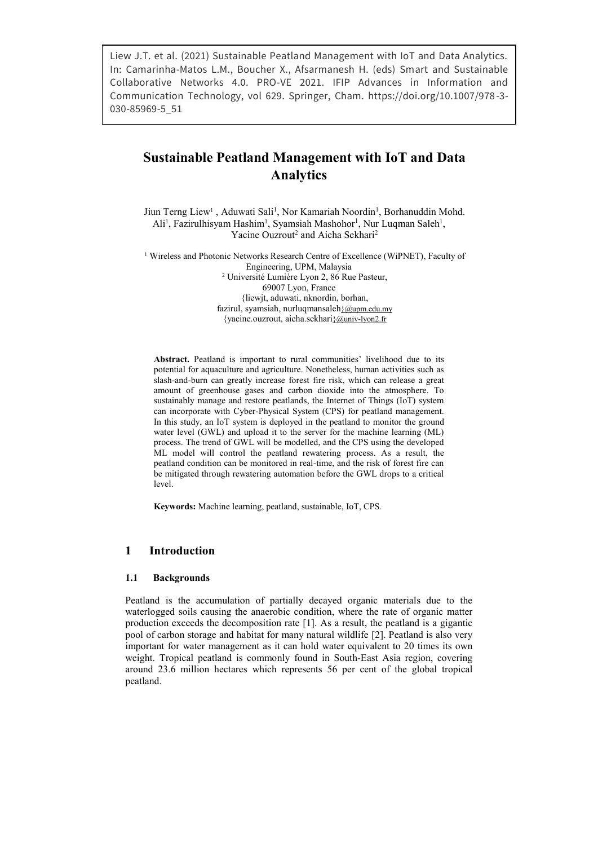Liew J.T. et al. (2021) Sustainable Peatland Management with IoT and Data Analytics. In: Camarinha-Matos L.M., Boucher X., Afsarmanesh H. (eds) Smart and Sustainable Collaborative Networks 4.0. PRO-VE 2021. IFIP Advances in Information and Communication Technology, vol 629. Springer, Cham. https://doi.org/10.1007/978-3- 030-85969-5\_51

## **Sustainable Peatland Management with IoT and Data Analytics**

Jiun Terng Liew<sup>1</sup>, Aduwati Sali<sup>1</sup>, Nor Kamariah Noordin<sup>1</sup>, Borhanuddin Mohd. Ali<sup>1</sup>, Fazirulhisyam Hashim<sup>1</sup>, Syamsiah Mashohor<sup>1</sup>, Nur Luqman Saleh<sup>1</sup>, Yacine Ouzrout<sup>2</sup> and Aicha Sekhari<sup>2</sup>

<sup>1</sup> Wireless and Photonic Networks Research Centre of Excellence (WiPNET), Faculty of Engineering, UPM, Malaysia <sup>2</sup> Université Lumière Lyon 2, 86 Rue Pasteur, 69007 Lyon, France {liewjt, aduwati, nknordin, borhan, fazirul, syamsiah, nurluqmansaleh}@upm.edu.my {yacine.ouzrout, aicha.sekhari}@univ-lyon2.fr

**Abstract.** Peatland is important to rural communities' livelihood due to its potential for aquaculture and agriculture. Nonetheless, human activities such as slash-and-burn can greatly increase forest fire risk, which can release a great amount of greenhouse gases and carbon dioxide into the atmosphere. To sustainably manage and restore peatlands, the Internet of Things (IoT) system can incorporate with Cyber-Physical System (CPS) for peatland management. In this study, an IoT system is deployed in the peatland to monitor the ground water level (GWL) and upload it to the server for the machine learning (ML) process. The trend of GWL will be modelled, and the CPS using the developed ML model will control the peatland rewatering process. As a result, the peatland condition can be monitored in real-time, and the risk of forest fire can be mitigated through rewatering automation before the GWL drops to a critical level.

**Keywords:** Machine learning, peatland, sustainable, IoT, CPS.

### **1 Introduction**

#### **1.1 Backgrounds**

Peatland is the accumulation of partially decayed organic materials due to the waterlogged soils causing the anaerobic condition, where the rate of organic matter production exceeds the decomposition rate [1]. As a result, the peatland is a gigantic pool of carbon storage and habitat for many natural wildlife [2]. Peatland is also very important for water management as it can hold water equivalent to 20 times its own weight. Tropical peatland is commonly found in South-East Asia region, covering around 23.6 million hectares which represents 56 per cent of the global tropical peatland.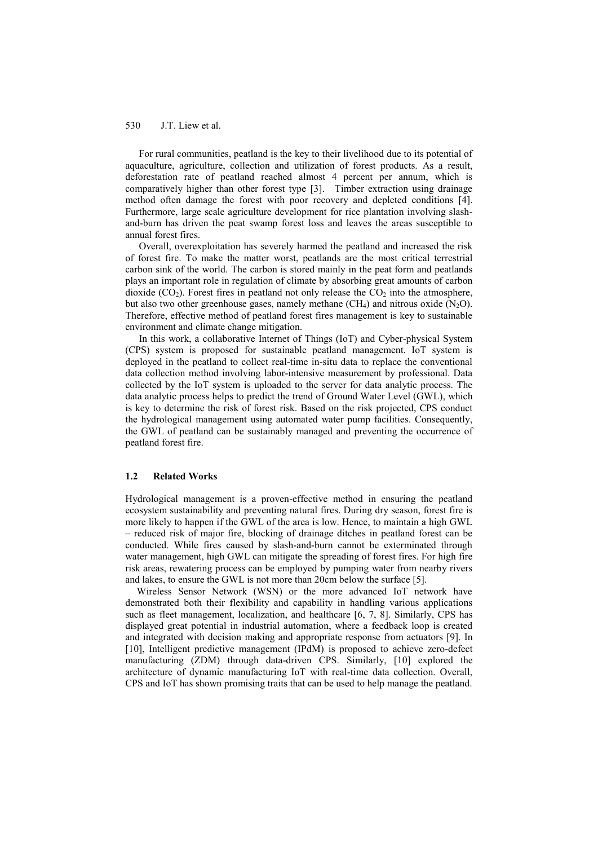For rural communities, peatland is the key to their livelihood due to its potential of aquaculture, agriculture, collection and utilization of forest products. As a result, deforestation rate of peatland reached almost 4 percent per annum, which is comparatively higher than other forest type [3]. Timber extraction using drainage method often damage the forest with poor recovery and depleted conditions [4]. Furthermore, large scale agriculture development for rice plantation involving slashand-burn has driven the peat swamp forest loss and leaves the areas susceptible to annual forest fires.

Overall, overexploitation has severely harmed the peatland and increased the risk of forest fire. To make the matter worst, peatlands are the most critical terrestrial carbon sink of the world. The carbon is stored mainly in the peat form and peatlands plays an important role in regulation of climate by absorbing great amounts of carbon dioxide  $(CO_2)$ . Forest fires in peatland not only release the  $CO_2$  into the atmosphere, but also two other greenhouse gases, namely methane  $(CH_4)$  and nitrous oxide  $(N_2O)$ . Therefore, effective method of peatland forest fires management is key to sustainable environment and climate change mitigation.

In this work, a collaborative Internet of Things (IoT) and Cyber-physical System (CPS) system is proposed for sustainable peatland management. IoT system is deployed in the peatland to collect real-time in-situ data to replace the conventional data collection method involving labor-intensive measurement by professional. Data collected by the IoT system is uploaded to the server for data analytic process. The data analytic process helps to predict the trend of Ground Water Level (GWL), which is key to determine the risk of forest risk. Based on the risk projected, CPS conduct the hydrological management using automated water pump facilities. Consequently, the GWL of peatland can be sustainably managed and preventing the occurrence of peatland forest fire.

#### **1.2 Related Works**

Hydrological management is a proven-effective method in ensuring the peatland ecosystem sustainability and preventing natural fires. During dry season, forest fire is more likely to happen if the GWL of the area is low. Hence, to maintain a high GWL – reduced risk of major fire, blocking of drainage ditches in peatland forest can be conducted. While fires caused by slash-and-burn cannot be exterminated through water management, high GWL can mitigate the spreading of forest fires. For high fire risk areas, rewatering process can be employed by pumping water from nearby rivers and lakes, to ensure the GWL is not more than 20cm below the surface [5].

Wireless Sensor Network (WSN) or the more advanced IoT network have demonstrated both their flexibility and capability in handling various applications such as fleet management, localization, and healthcare [6, 7, 8]. Similarly, CPS has displayed great potential in industrial automation, where a feedback loop is created and integrated with decision making and appropriate response from actuators [9]. In [10], Intelligent predictive management (IPdM) is proposed to achieve zero-defect manufacturing (ZDM) through data-driven CPS. Similarly, [10] explored the architecture of dynamic manufacturing IoT with real-time data collection. Overall, CPS and IoT has shown promising traits that can be used to help manage the peatland.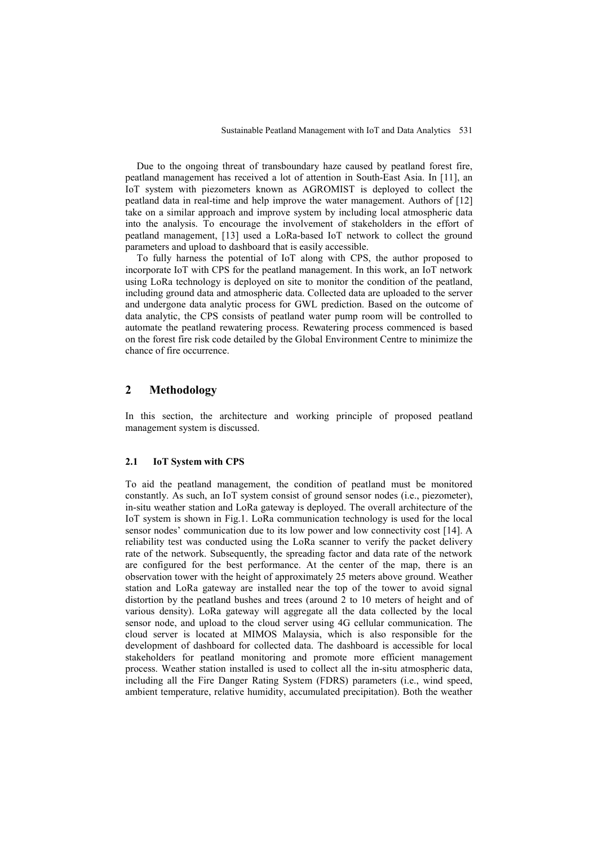Due to the ongoing threat of transboundary haze caused by peatland forest fire, peatland management has received a lot of attention in South-East Asia. In [11], an IoT system with piezometers known as AGROMIST is deployed to collect the peatland data in real-time and help improve the water management. Authors of [12] take on a similar approach and improve system by including local atmospheric data into the analysis. To encourage the involvement of stakeholders in the effort of peatland management, [13] used a LoRa-based IoT network to collect the ground parameters and upload to dashboard that is easily accessible.

To fully harness the potential of IoT along with CPS, the author proposed to incorporate IoT with CPS for the peatland management. In this work, an IoT network using LoRa technology is deployed on site to monitor the condition of the peatland, including ground data and atmospheric data. Collected data are uploaded to the server and undergone data analytic process for GWL prediction. Based on the outcome of data analytic, the CPS consists of peatland water pump room will be controlled to automate the peatland rewatering process. Rewatering process commenced is based on the forest fire risk code detailed by the Global Environment Centre to minimize the chance of fire occurrence.

## **2 Methodology**

In this section, the architecture and working principle of proposed peatland management system is discussed.

#### **2.1 IoT System with CPS**

To aid the peatland management, the condition of peatland must be monitored constantly. As such, an IoT system consist of ground sensor nodes (i.e., piezometer), in-situ weather station and LoRa gateway is deployed. The overall architecture of the IoT system is shown in Fig.1. LoRa communication technology is used for the local sensor nodes' communication due to its low power and low connectivity cost [14]. A reliability test was conducted using the LoRa scanner to verify the packet delivery rate of the network. Subsequently, the spreading factor and data rate of the network are configured for the best performance. At the center of the map, there is an observation tower with the height of approximately 25 meters above ground. Weather station and LoRa gateway are installed near the top of the tower to avoid signal distortion by the peatland bushes and trees (around 2 to 10 meters of height and of various density). LoRa gateway will aggregate all the data collected by the local sensor node, and upload to the cloud server using 4G cellular communication. The cloud server is located at MIMOS Malaysia, which is also responsible for the development of dashboard for collected data. The dashboard is accessible for local stakeholders for peatland monitoring and promote more efficient management process. Weather station installed is used to collect all the in-situ atmospheric data, including all the Fire Danger Rating System (FDRS) parameters (i.e., wind speed, ambient temperature, relative humidity, accumulated precipitation). Both the weather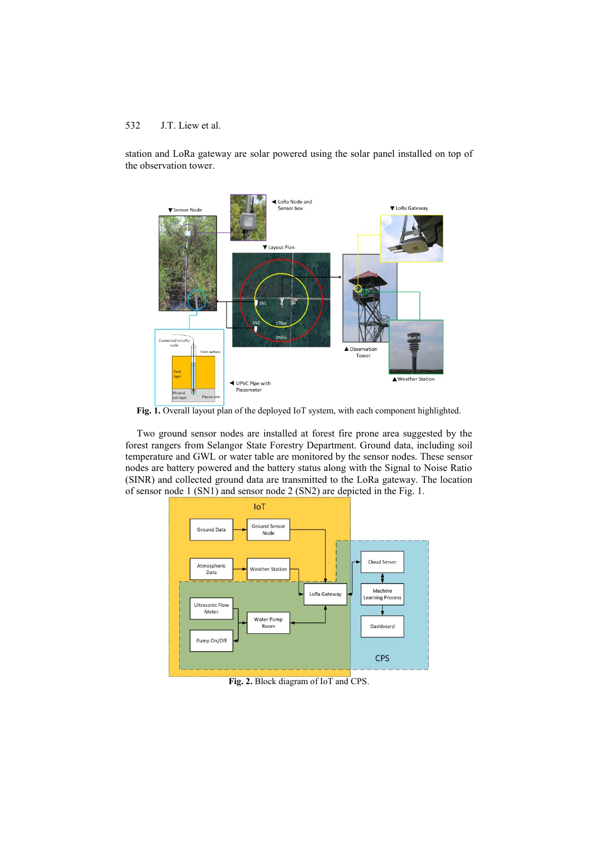



**Fig. 1.** Overall layout plan of the deployed IoT system, with each component highlighted.

Two ground sensor nodes are installed at forest fire prone area suggested by the forest rangers from Selangor State Forestry Department. Ground data, including soil temperature and GWL or water table are monitored by the sensor nodes. These sensor nodes are battery powered and the battery status along with the Signal to Noise Ratio (SINR) and collected ground data are transmitted to the LoRa gateway. The location of sensor node 1 (SN1) and sensor node 2 (SN2) are depicted in the Fig. 1.



**Fig. 2.** Block diagram of IoT and CPS.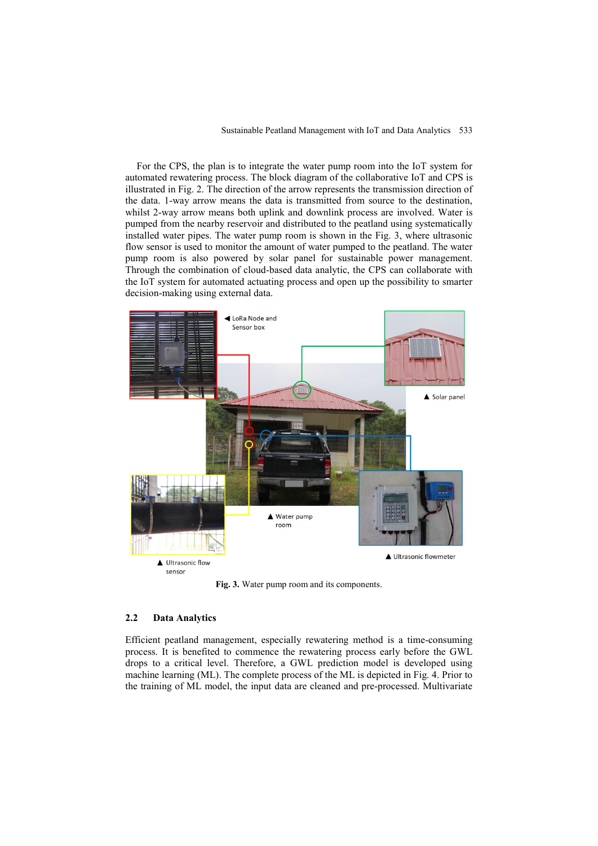For the CPS, the plan is to integrate the water pump room into the IoT system for automated rewatering process. The block diagram of the collaborative IoT and CPS is illustrated in Fig. 2. The direction of the arrow represents the transmission direction of the data. 1-way arrow means the data is transmitted from source to the destination, whilst 2-way arrow means both uplink and downlink process are involved. Water is pumped from the nearby reservoir and distributed to the peatland using systematically installed water pipes. The water pump room is shown in the Fig. 3, where ultrasonic flow sensor is used to monitor the amount of water pumped to the peatland. The water pump room is also powered by solar panel for sustainable power management. Through the combination of cloud-based data analytic, the CPS can collaborate with the IoT system for automated actuating process and open up the possibility to smarter decision-making using external data.



**Fig. 3.** Water pump room and its components.

#### **2.2 Data Analytics**

Efficient peatland management, especially rewatering method is a time-consuming process. It is benefited to commence the rewatering process early before the GWL drops to a critical level. Therefore, a GWL prediction model is developed using machine learning (ML). The complete process of the ML is depicted in Fig. 4. Prior to the training of ML model, the input data are cleaned and pre-processed. Multivariate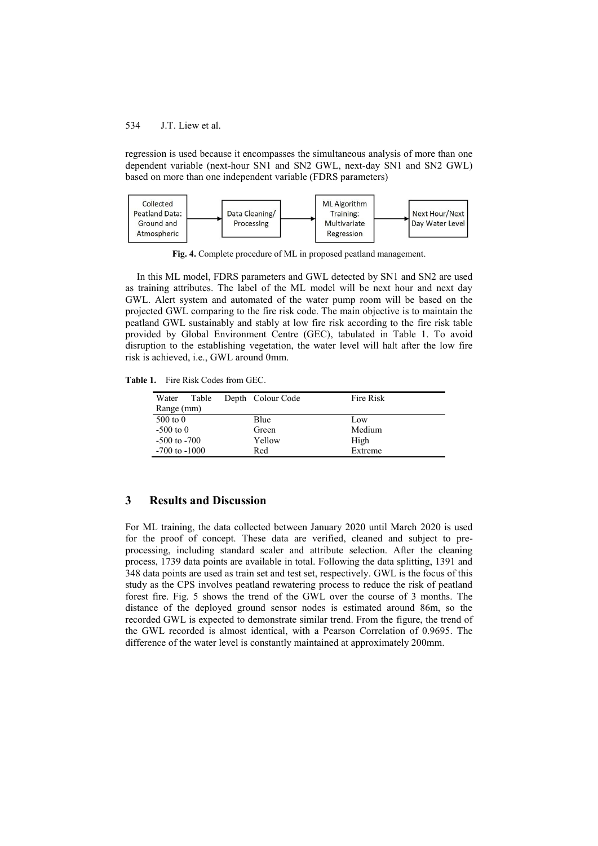regression is used because it encompasses the simultaneous analysis of more than one dependent variable (next-hour SN1 and SN2 GWL, next-day SN1 and SN2 GWL) based on more than one independent variable (FDRS parameters)



**Fig. 4.** Complete procedure of ML in proposed peatland management.

In this ML model, FDRS parameters and GWL detected by SN1 and SN2 are used as training attributes. The label of the ML model will be next hour and next day GWL. Alert system and automated of the water pump room will be based on the projected GWL comparing to the fire risk code. The main objective is to maintain the peatland GWL sustainably and stably at low fire risk according to the fire risk table provided by Global Environment Centre (GEC), tabulated in Table 1. To avoid disruption to the establishing vegetation, the water level will halt after the low fire risk is achieved, i.e., GWL around 0mm.

**Table 1.** Fire Risk Codes from GEC.

| Water Table<br>Range (mm) | Depth Colour Code | Fire Risk |
|---------------------------|-------------------|-----------|
| $500$ to $0$              | Blue              | Low       |
| $-500$ to 0               | Green             | Medium    |
| $-500$ to $-700$          | Yellow            | High      |
| $-700$ to $-1000$         | Red               | Extreme   |

## **3 Results and Discussion**

For ML training, the data collected between January 2020 until March 2020 is used for the proof of concept. These data are verified, cleaned and subject to preprocessing, including standard scaler and attribute selection. After the cleaning process, 1739 data points are available in total. Following the data splitting, 1391 and 348 data points are used as train set and test set, respectively. GWL is the focus of this study as the CPS involves peatland rewatering process to reduce the risk of peatland forest fire. Fig. 5 shows the trend of the GWL over the course of 3 months. The distance of the deployed ground sensor nodes is estimated around 86m, so the recorded GWL is expected to demonstrate similar trend. From the figure, the trend of the GWL recorded is almost identical, with a Pearson Correlation of 0.9695. The difference of the water level is constantly maintained at approximately 200mm.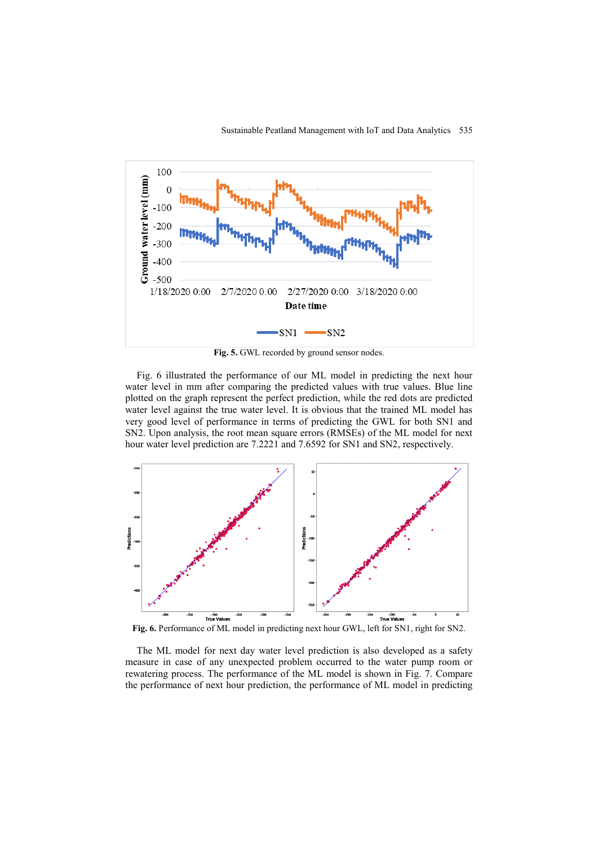

**Fig. 5.** GWL recorded by ground sensor nodes.

Fig. 6 illustrated the performance of our ML model in predicting the next hour water level in mm after comparing the predicted values with true values. Blue line plotted on the graph represent the perfect prediction, while the red dots are predicted water level against the true water level. It is obvious that the trained ML model has very good level of performance in terms of predicting the GWL for both SN1 and SN2. Upon analysis, the root mean square errors (RMSEs) of the ML model for next hour water level prediction are 7.2221 and 7.6592 for SN1 and SN2, respectively.



**Fig. 6.** Performance of ML model in predicting next hour GWL, left for SN1, right for SN2.

The ML model for next day water level prediction is also developed as a safety measure in case of any unexpected problem occurred to the water pump room or rewatering process. The performance of the ML model is shown in Fig. 7. Compare the performance of next hour prediction, the performance of ML model in predicting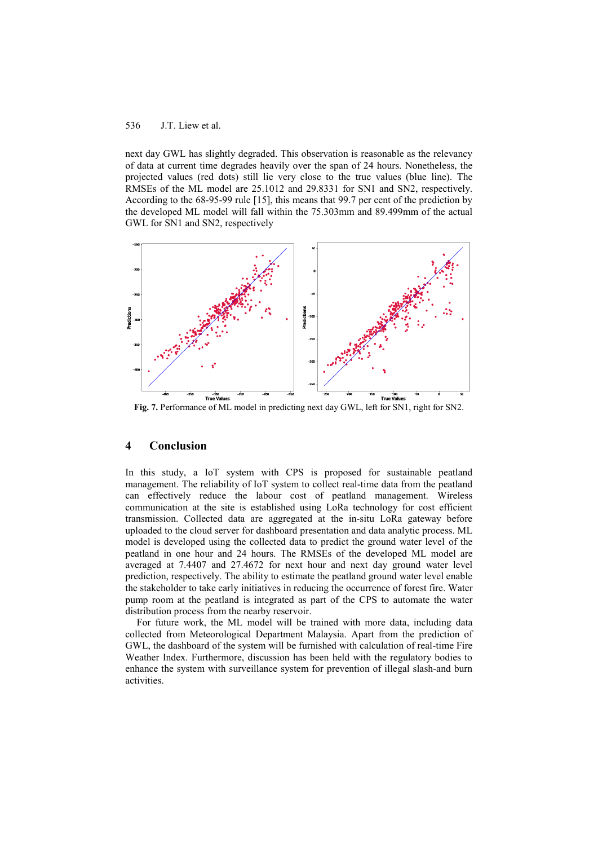next day GWL has slightly degraded. This observation is reasonable as the relevancy of data at current time degrades heavily over the span of 24 hours. Nonetheless, the projected values (red dots) still lie very close to the true values (blue line). The RMSEs of the ML model are 25.1012 and 29.8331 for SN1 and SN2, respectively. According to the 68-95-99 rule [15], this means that 99.7 per cent of the prediction by the developed ML model will fall within the 75.303mm and 89.499mm of the actual GWL for SN1 and SN2, respectively



**Fig. 7.** Performance of ML model in predicting next day GWL, left for SN1, right for SN2.

## **4 Conclusion**

In this study, a IoT system with CPS is proposed for sustainable peatland management. The reliability of IoT system to collect real-time data from the peatland can effectively reduce the labour cost of peatland management. Wireless communication at the site is established using LoRa technology for cost efficient transmission. Collected data are aggregated at the in-situ LoRa gateway before uploaded to the cloud server for dashboard presentation and data analytic process. ML model is developed using the collected data to predict the ground water level of the peatland in one hour and 24 hours. The RMSEs of the developed ML model are averaged at 7.4407 and 27.4672 for next hour and next day ground water level prediction, respectively. The ability to estimate the peatland ground water level enable the stakeholder to take early initiatives in reducing the occurrence of forest fire. Water pump room at the peatland is integrated as part of the CPS to automate the water distribution process from the nearby reservoir.

For future work, the ML model will be trained with more data, including data collected from Meteorological Department Malaysia. Apart from the prediction of GWL, the dashboard of the system will be furnished with calculation of real-time Fire Weather Index. Furthermore, discussion has been held with the regulatory bodies to enhance the system with surveillance system for prevention of illegal slash-and burn activities.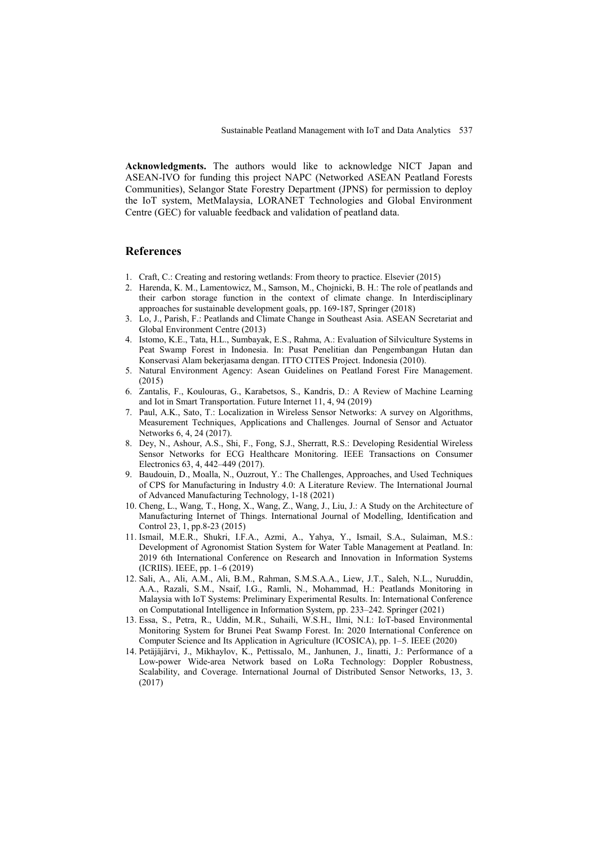**Acknowledgments.** The authors would like to acknowledge NICT Japan and ASEAN-IVO for funding this project NAPC (Networked ASEAN Peatland Forests Communities), Selangor State Forestry Department (JPNS) for permission to deploy the IoT system, MetMalaysia, LORANET Technologies and Global Environment Centre (GEC) for valuable feedback and validation of peatland data.

## **References**

- 1. Craft, C.: Creating and restoring wetlands: From theory to practice. Elsevier (2015)
- 2. Harenda, K. M., Lamentowicz, M., Samson, M., Chojnicki, B. H.: The role of peatlands and their carbon storage function in the context of climate change. In Interdisciplinary approaches for sustainable development goals, pp. 169-187, Springer (2018)
- 3. Lo, J., Parish, F.: Peatlands and Climate Change in Southeast Asia. ASEAN Secretariat and Global Environment Centre (2013)
- 4. Istomo, K.E., Tata, H.L., Sumbayak, E.S., Rahma, A.: Evaluation of Silviculture Systems in Peat Swamp Forest in Indonesia. In: Pusat Penelitian dan Pengembangan Hutan dan Konservasi Alam bekerjasama dengan. ITTO CITES Project. Indonesia (2010).
- 5. Natural Environment Agency: Asean Guidelines on Peatland Forest Fire Management. (2015)
- 6. Zantalis, F., Koulouras, G., Karabetsos, S., Kandris, D.: A Review of Machine Learning and Iot in Smart Transportation. Future Internet 11, 4, 94 (2019)
- 7. Paul, A.K., Sato, T.: Localization in Wireless Sensor Networks: A survey on Algorithms, Measurement Techniques, Applications and Challenges. Journal of Sensor and Actuator Networks 6, 4, 24 (2017).
- 8. Dey, N., Ashour, A.S., Shi, F., Fong, S.J., Sherratt, R.S.: Developing Residential Wireless Sensor Networks for ECG Healthcare Monitoring. IEEE Transactions on Consumer Electronics 63, 4, 442–449 (2017).
- 9. Baudouin, D., Moalla, N., Ouzrout, Y.: The Challenges, Approaches, and Used Techniques of CPS for Manufacturing in Industry 4.0: A Literature Review. The International Journal of Advanced Manufacturing Technology, 1-18 (2021)
- 10. Cheng, L., Wang, T., Hong, X., Wang, Z., Wang, J., Liu, J.: A Study on the Architecture of Manufacturing Internet of Things. International Journal of Modelling, Identification and Control 23, 1, pp.8-23 (2015)
- 11. Ismail, M.E.R., Shukri, I.F.A., Azmi, A., Yahya, Y., Ismail, S.A., Sulaiman, M.S.: Development of Agronomist Station System for Water Table Management at Peatland. In: 2019 6th International Conference on Research and Innovation in Information Systems (ICRIIS). IEEE, pp. 1–6 (2019)
- 12. Sali, A., Ali, A.M., Ali, B.M., Rahman, S.M.S.A.A., Liew, J.T., Saleh, N.L., Nuruddin, A.A., Razali, S.M., Nsaif, I.G., Ramli, N., Mohammad, H.: Peatlands Monitoring in Malaysia with IoT Systems: Preliminary Experimental Results. In: International Conference on Computational Intelligence in Information System, pp. 233–242. Springer (2021)
- 13. Essa, S., Petra, R., Uddin, M.R., Suhaili, W.S.H., Ilmi, N.I.: IoT-based Environmental Monitoring System for Brunei Peat Swamp Forest. In: 2020 International Conference on Computer Science and Its Application in Agriculture (ICOSICA), pp. 1–5. IEEE (2020)
- 14. Petäjäjärvi, J., Mikhaylov, K., Pettissalo, M., Janhunen, J., Iinatti, J.: Performance of a Low-power Wide-area Network based on LoRa Technology: Doppler Robustness, Scalability, and Coverage. International Journal of Distributed Sensor Networks, 13, 3. (2017)